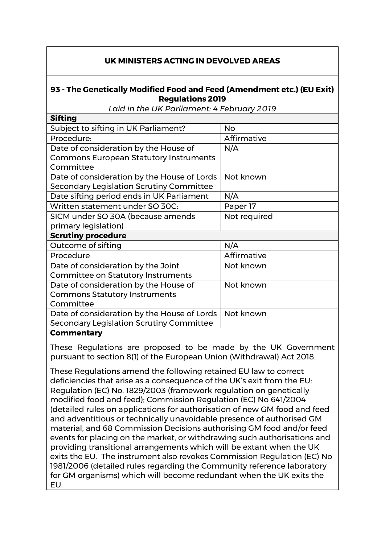## **UK MINISTERS ACTING IN DEVOLVED AREAS**

## **93 - The Genetically Modified Food and Feed (Amendment etc.) (EU Exit) Regulations 2019**

*Laid in the UK Parliament: 4 February 2019*

| <b>Sifting</b>                                |              |
|-----------------------------------------------|--------------|
| Subject to sifting in UK Parliament?          | <b>No</b>    |
| Procedure:                                    | Affirmative  |
| Date of consideration by the House of         | N/A          |
| <b>Commons European Statutory Instruments</b> |              |
| Committee                                     |              |
| Date of consideration by the House of Lords   | Not known    |
| Secondary Legislation Scrutiny Committee      |              |
| Date sifting period ends in UK Parliament     | N/A          |
| Written statement under SO 30C:               | Paper 17     |
| SICM under SO 30A (because amends             | Not required |
| primary legislation)                          |              |
| <b>Scrutiny procedure</b>                     |              |
| Outcome of sifting                            | N/A          |
| Procedure                                     | Affirmative  |
| Date of consideration by the Joint            | Not known    |
| <b>Committee on Statutory Instruments</b>     |              |
| Date of consideration by the House of         | Not known    |
| <b>Commons Statutory Instruments</b>          |              |
| Committee                                     |              |
| Date of consideration by the House of Lords   | Not known    |
| Secondary Legislation Scrutiny Committee      |              |
|                                               |              |

## **Commentary**

These Regulations are proposed to be made by the UK Government pursuant to section 8(1) of the European Union (Withdrawal) Act 2018.

These Regulations amend the following retained EU law to correct deficiencies that arise as a consequence of the UK's exit from the EU: Regulation (EC) No. 1829/2003 (framework regulation on genetically modified food and feed); Commission Regulation (EC) No 641/2004 (detailed rules on applications for authorisation of new GM food and feed and adventitious or technically unavoidable presence of authorised GM material, and 68 Commission Decisions authorising GM food and/or feed events for placing on the market, or withdrawing such authorisations and providing transitional arrangements which will be extant when the UK exits the EU. The instrument also revokes Commission Regulation (EC) No 1981/2006 (detailed rules regarding the Community reference laboratory for GM organisms) which will become redundant when the UK exits the EU.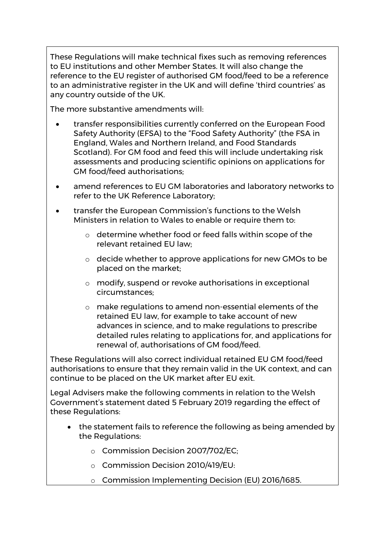These Regulations will make technical fixes such as removing references to EU institutions and other Member States. It will also change the reference to the EU register of authorised GM food/feed to be a reference to an administrative register in the UK and will define 'third countries' as any country outside of the UK.

The more substantive amendments will:

- transfer responsibilities currently conferred on the European Food Safety Authority (EFSA) to the "Food Safety Authority" (the FSA in England, Wales and Northern Ireland, and Food Standards Scotland). For GM food and feed this will include undertaking risk assessments and producing scientific opinions on applications for GM food/feed authorisations;
- amend references to EU GM laboratories and laboratory networks to refer to the UK Reference Laboratory;
- transfer the European Commission's functions to the Welsh Ministers in relation to Wales to enable or require them to:
	- o determine whether food or feed falls within scope of the relevant retained EU law;
	- o decide whether to approve applications for new GMOs to be placed on the market;
	- o modify, suspend or revoke authorisations in exceptional circumstances;
	- o make regulations to amend non-essential elements of the retained EU law, for example to take account of new advances in science, and to make regulations to prescribe detailed rules relating to applications for, and applications for renewal of, authorisations of GM food/feed.

These Regulations will also correct individual retained EU GM food/feed authorisations to ensure that they remain valid in the UK context, and can continue to be placed on the UK market after EU exit.

Legal Advisers make the following comments in relation to the Welsh Government's statement dated 5 February 2019 regarding the effect of these Regulations:

- the statement fails to reference the following as being amended by the Regulations:
	- o Commission Decision 2007/702/EC;
	- o Commission Decision 2010/419/EU:
	- o Commission Implementing Decision (EU) 2016/1685.